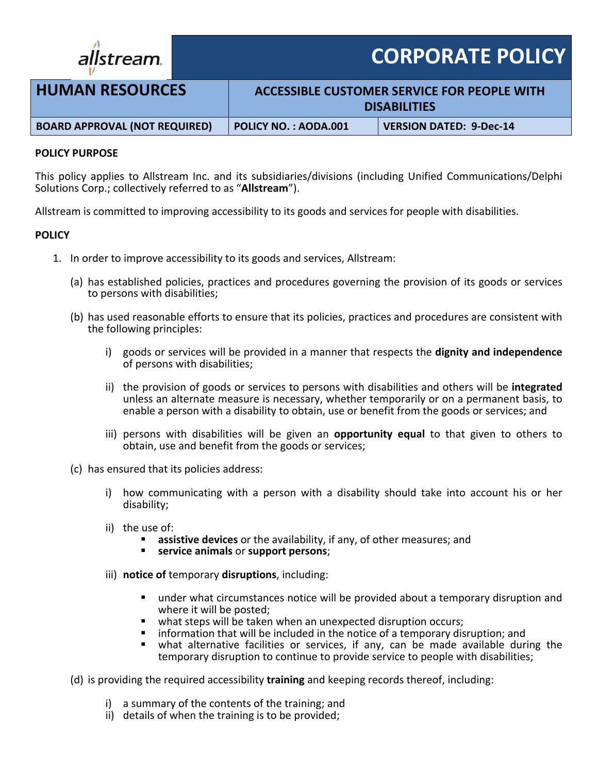

**CORPORATE POLICY**

| <b>HUMAN RESOURCES</b>               | ACCESSIBLE CUSTOMER SERVICE FOR PEOPLE WITH<br><b>DISABILITIES</b> |                                |
|--------------------------------------|--------------------------------------------------------------------|--------------------------------|
| <b>BOARD APPROVAL (NOT REQUIRED)</b> | <b>POLICY NO.: AODA.001</b>                                        | <b>VERSION DATED: 9-Dec-14</b> |

## **POLICY PURPOSE**

This policy applies to Allstream Inc. and its subsidiaries/divisions (including Unified Communications/Delphi Solutions Corp.; collectively referred to as "**Allstream**").

Allstream is committed to improving accessibility to its goods and services for people with disabilities.

## **POLICY**

- 1. In order to improve accessibility to its goods and services, Allstream:
	- (a) has established policies, practices and procedures governing the provision of its goods or services to persons with disabilities;
	- (b) has used reasonable efforts to ensure that its policies, practices and procedures are consistent with the following principles:
		- i) goods or services will be provided in a manner that respects the **dignity and independence** of persons with disabilities;
		- ii) the provision of goods or services to persons with disabilities and others will be **integrated** unless an alternate measure is necessary, whether temporarily or on a permanent basis, to enable a person with a disability to obtain, use or benefit from the goods or services; and
		- iii) persons with disabilities will be given an **opportunity equal** to that given to others to obtain, use and benefit from the goods or services;
	- (c) has ensured that its policies address:
		- i) how communicating with a person with a disability should take into account his or her disability;
		- ii) the use of:
			- **assistive devices** or the availability, if any, of other measures; and
			- **service animals** or **support persons**;
		- iii) **notice of** temporary **disruptions**, including:
			- under what circumstances notice will be provided about a temporary disruption and where it will be posted;
			- **•** what steps will be taken when an unexpected disruption occurs;
			- information that will be included in the notice of a temporary disruption; and
			- what alternative facilities or services, if any, can be made available during the temporary disruption to continue to provide service to people with disabilities;
	- (d) is providing the required accessibility **training** and keeping records thereof, including:
		- i) a summary of the contents of the training; and
		- ii) details of when the training is to be provided;